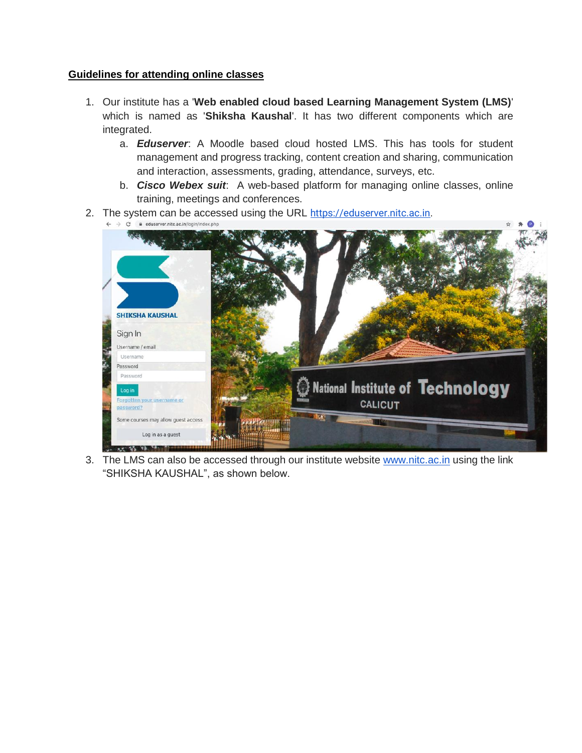## **Guidelines for attending online classes**

- 1. Our institute has a '**Web enabled cloud based Learning Management System (LMS)**' which is named as '**Shiksha Kaushal**'. It has two different components which are integrated.
	- a. *Eduserver*: A Moodle based cloud hosted LMS. This has tools for student management and progress tracking, content creation and sharing, communication and interaction, assessments, grading, attendance, surveys, etc.
	- b. *Cisco Webex suit*: A web-based platform for managing online classes, online training, meetings and conferences.
- 2. The system can be accessed using the URL <u>https://eduserver.nitc.ac.in</u>.<br>  $\leftarrow \rightarrow \text{C}$  **a** eduserver.nitc.ac.in/ogin/index.php



3. The LMS can also be accessed through our institute website [www.nitc.ac.in](http://www.nitc.ac.in/) using the link "SHIKSHA KAUSHAL", as shown below.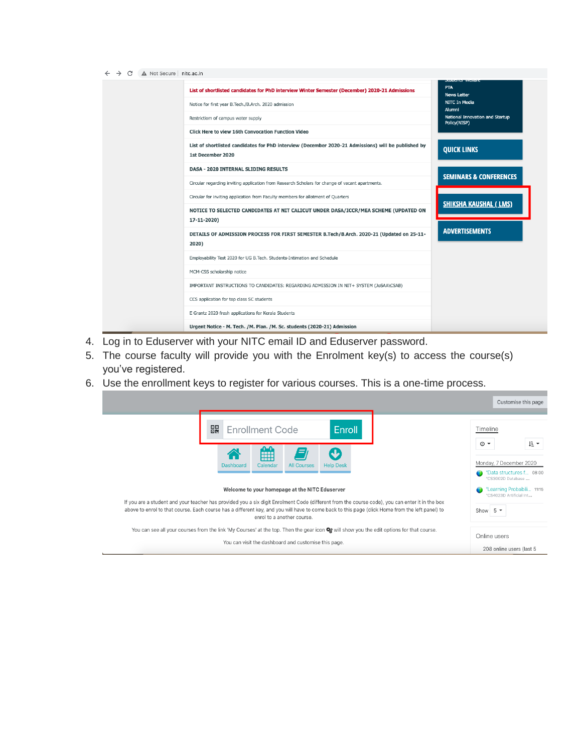| $\leftarrow$ $\rightarrow$ $\circ$ $\bullet$ Not Secure nitc.ac.in |  |  |  |  |  |  |
|--------------------------------------------------------------------|--|--|--|--|--|--|
|--------------------------------------------------------------------|--|--|--|--|--|--|

| List of shortlisted candidates for PhD interview Winter Semester (December) 2020-21 Admissions<br>Notice for first year B.Tech./B.Arch. 2020 admission<br>Restrictiom of campus water supply<br><b>Click Here to view 16th Convocation Function Video</b> | amuenta vrenore<br><b>PTA</b><br><b>News Letter</b><br>NITC In Media<br>Alumni<br>National Innovation and Startup<br>Policy(NISP) |
|-----------------------------------------------------------------------------------------------------------------------------------------------------------------------------------------------------------------------------------------------------------|-----------------------------------------------------------------------------------------------------------------------------------|
| List of shortlisted candidates for PhD interview (December 2020-21 Admissions) will be published by<br>1st December 2020                                                                                                                                  | <b>QUICK LINKS</b>                                                                                                                |
| DASA - 2020 INTERNAL SLIDING RESULTS                                                                                                                                                                                                                      |                                                                                                                                   |
| Circular regarding inviting application from Research Scholars for change of vacant apartments.                                                                                                                                                           | <b>SEMINARS &amp; CONFERENCES</b>                                                                                                 |
| Circular for inviting application from Faculty members for allotment of Quarters                                                                                                                                                                          |                                                                                                                                   |
| NOTICE TO SELECTED CANDIDATES AT NIT CALICUT UNDER DASA/ICCR/MEA SCHEME (UPDATED ON<br>17-11-2020)                                                                                                                                                        | <b>SHIKSHA KAUSHAL (LMS)</b>                                                                                                      |
| DETAILS OF ADMISSION PROCESS FOR FIRST SEMESTER B.Tech/B.Arch. 2020-21 (Updated on 25-11-<br>2020)                                                                                                                                                        | <b>ADVERTISEMENTS</b>                                                                                                             |
| Employability Test 2020 for UG B.Tech. Students-Intimation and Schedule                                                                                                                                                                                   |                                                                                                                                   |
| MCM-CSS scholarship notice                                                                                                                                                                                                                                |                                                                                                                                   |
| IMPORTANT INSTRUCTIONS TO CANDIDATES: REGARDING ADMISSION IN NIT+ SYSTEM (JoSAA\CSAB)                                                                                                                                                                     |                                                                                                                                   |
| CCS application for top class SC students                                                                                                                                                                                                                 |                                                                                                                                   |
| E Grantz 2020 fresh applications for Kerala Students                                                                                                                                                                                                      |                                                                                                                                   |
| Urgent Notice - M. Tech. / M. Plan. / M. Sc. students (2020-21) Admission                                                                                                                                                                                 |                                                                                                                                   |

- 4. Log in to Eduserver with your NITC email ID and Eduserver password.
- 5. The course faculty will provide you with the Enrolment key(s) to access the course(s) you've registered.
- 6. Use the enrollment keys to register for various courses. This is a one-time process.

|                                                                                                                                                                                                                                                                                                                                  | Customise this page                                                                           |
|----------------------------------------------------------------------------------------------------------------------------------------------------------------------------------------------------------------------------------------------------------------------------------------------------------------------------------|-----------------------------------------------------------------------------------------------|
| 嘂<br>Enroll<br><b>Enrollment Code</b>                                                                                                                                                                                                                                                                                            | Timeline                                                                                      |
| 雦<br>Calendar<br><b>Dashboard</b><br><b>All Courses</b><br><b>Help Desk</b>                                                                                                                                                                                                                                                      | lÈ *<br>$\circ$ -<br>Monday, 7 December 2020<br>"Data structures f 08:00<br>"CS3002D Database |
| Welcome to your homepage at the NITC Eduserver                                                                                                                                                                                                                                                                                   | "Learning Probabili 11:15<br>"CS4023D Artificial Int                                          |
| If you are a student and your teacher has provided you a six digit Enrolment Code (different from the course code), you can enter it in the box<br>above to enrol to that course. Each course has a different key, and you will have to come back to this page (click Home from the left panel) to<br>enrol to a another course. | Show $5 -$                                                                                    |
| You can see all your courses from the link 'My Courses' at the top. Then the gear icon $\mathbf{Q}$ will show you the edit options for that course.<br>You can visit the dashboard and customise this page.                                                                                                                      | Online users<br>208 online users (last 5                                                      |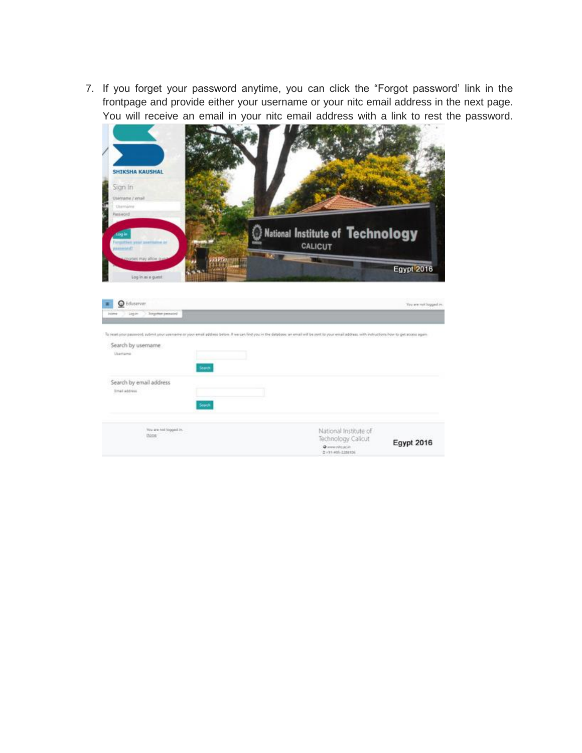7. If you forget your password anytime, you can click the "Forgot password' link in the frontpage and provide either your username or your nitc email address in the next page. You will receive an email in your nitc email address with a link to rest the password.

| <b>SHIKSHA KAUSHAL</b>    |                |                                  |  |
|---------------------------|----------------|----------------------------------|--|
| Sign In                   |                |                                  |  |
| ame / ental               |                |                                  |  |
| <b>LESTERS</b><br>Minorit |                |                                  |  |
|                           | <b>CALICUT</b> | National Institute of Technology |  |
| (60 in as a quest         | 200            | <b>Egypt</b> 2016                |  |

| Eduserver<br>o                                                          | You are not logged in.                                                                                                                                                                                |
|-------------------------------------------------------------------------|-------------------------------------------------------------------------------------------------------------------------------------------------------------------------------------------------------|
| Login > Torgotter prosecre<br><b>J</b> LOPPER                           |                                                                                                                                                                                                       |
|                                                                         | To reset your persearch submit your unemante or your email address below. If we can find you in the delabase, an email will be sent to your email address, with instructions how to get access again. |
| Search by username<br>Useriama<br>Search                                |                                                                                                                                                                                                       |
| Search by email address<br>Imali address<br><b>CONTRACTOR</b><br>Search |                                                                                                                                                                                                       |
| You are not logged in.<br><b>Home</b>                                   | National Institute of<br>Technology Calicut<br><b>Egypt 2016</b><br>@ inversitation.<br>D +91-495-2286106                                                                                             |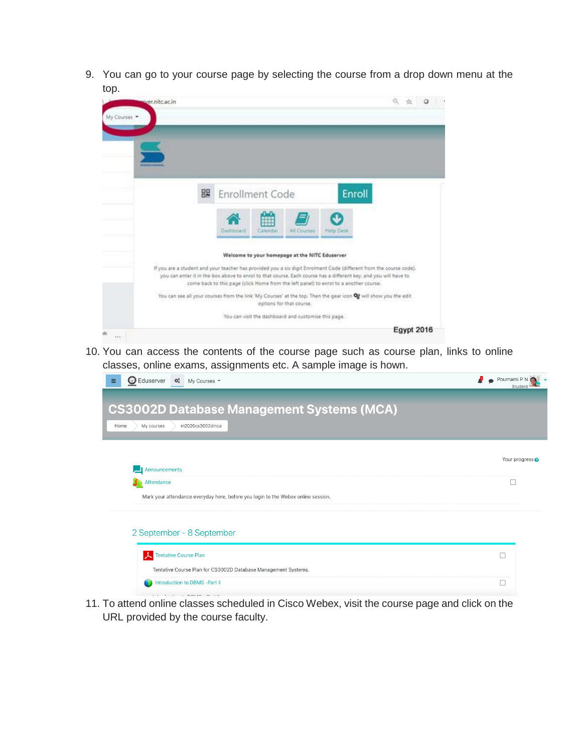9. You can go to your course page by selecting the course from a drop down menu at the top.

| gyer.nitc.ac.in |                                                                                                                                                                                                                                                                                                                                  |                   |
|-----------------|----------------------------------------------------------------------------------------------------------------------------------------------------------------------------------------------------------------------------------------------------------------------------------------------------------------------------------|-------------------|
| My Courses      |                                                                                                                                                                                                                                                                                                                                  |                   |
|                 |                                                                                                                                                                                                                                                                                                                                  |                   |
|                 |                                                                                                                                                                                                                                                                                                                                  |                   |
|                 |                                                                                                                                                                                                                                                                                                                                  |                   |
| 盟               | Enroll<br><b>Enrollment Code</b>                                                                                                                                                                                                                                                                                                 |                   |
|                 |                                                                                                                                                                                                                                                                                                                                  |                   |
|                 | m<br>Dashboard<br>Caleridar<br><b>All Courses</b><br>Help Desk                                                                                                                                                                                                                                                                   |                   |
|                 |                                                                                                                                                                                                                                                                                                                                  |                   |
|                 | Welcome to your homepage at the NITC Eduserver                                                                                                                                                                                                                                                                                   |                   |
|                 | If you are a student and your teacher has provided you a six digit Enrolment Code (different from the course code).<br>you can enter it in the box above to enrol to that course. Each course has a different key, and you will have to<br>come back to this page (click Home from the left panel) to enrol to a another course. |                   |
|                 | You can see all your courses from the link 'My Courses' at the top. Then the gear icon Qg will show you the edit<br>options for that course.                                                                                                                                                                                     |                   |
|                 | You can visit the dashboard and customise this page.                                                                                                                                                                                                                                                                             |                   |
|                 |                                                                                                                                                                                                                                                                                                                                  | <b>Egypt 2016</b> |

10. You can access the contents of the course page such as course plan, links to online classes, online exams, assignments etc. A sample image is hown.

| Eduserver<br>$\phi_{\circ}^{\circ}$ My Courses $\sim$                                                           | Pournami P N<br>Student |
|-----------------------------------------------------------------------------------------------------------------|-------------------------|
| <b>CS3002D Database Management Systems (MCA)</b><br>m2020cs3002dmca<br>Home<br>My courses                       |                         |
| Announcements                                                                                                   | Your progress ?         |
| Attendance<br>Mark your attendance everyday here, before you login to the Webex online session.                 | ш                       |
| 2 September - 8 September                                                                                       |                         |
| <b>Tentative Course Plan</b><br>$\mathcal{L}$<br>Tentative Course Plan for CS3002D Database Management Systems. |                         |
| Introduction to DBMS -Part II<br>$\cdots$ $\cdots$ $\cdots$ $\cdots$                                            |                         |

11. To attend online classes scheduled in Cisco Webex, visit the course page and click on the URL provided by the course faculty.